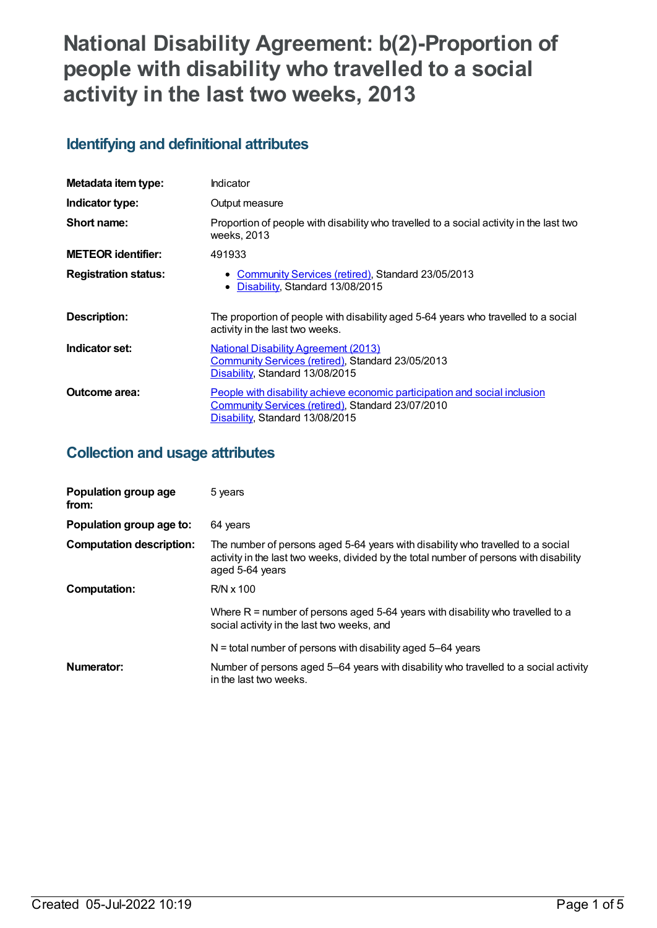# **National Disability Agreement: b(2)-Proportion of people with disability who travelled to a social activity in the last two weeks, 2013**

## **Identifying and definitional attributes**

| Metadata item type:         | Indicator                                                                                                                                                          |
|-----------------------------|--------------------------------------------------------------------------------------------------------------------------------------------------------------------|
| Indicator type:             | Output measure                                                                                                                                                     |
| Short name:                 | Proportion of people with disability who travelled to a social activity in the last two<br>weeks, 2013                                                             |
| <b>METEOR identifier:</b>   | 491933                                                                                                                                                             |
| <b>Registration status:</b> | • Community Services (retired), Standard 23/05/2013<br>Disability, Standard 13/08/2015<br>٠                                                                        |
| Description:                | The proportion of people with disability aged 5-64 years who travelled to a social<br>activity in the last two weeks.                                              |
| Indicator set:              | <b>National Disability Agreement (2013)</b><br>Community Services (retired), Standard 23/05/2013<br>Disability, Standard 13/08/2015                                |
| Outcome area:               | People with disability achieve economic participation and social inclusion<br>Community Services (retired), Standard 23/07/2010<br>Disability, Standard 13/08/2015 |

## **Collection and usage attributes**

| Population group age<br>from:   | 5 years                                                                                                                                                                                      |
|---------------------------------|----------------------------------------------------------------------------------------------------------------------------------------------------------------------------------------------|
| Population group age to:        | 64 years                                                                                                                                                                                     |
| <b>Computation description:</b> | The number of persons aged 5-64 years with disability who travelled to a social<br>activity in the last two weeks, divided by the total number of persons with disability<br>aged 5-64 years |
| <b>Computation:</b>             | $R/N \times 100$                                                                                                                                                                             |
|                                 | Where $R =$ number of persons aged 5-64 years with disability who travelled to a<br>social activity in the last two weeks, and                                                               |
|                                 | $N =$ total number of persons with disability aged 5–64 years                                                                                                                                |
| Numerator:                      | Number of persons aged 5–64 years with disability who travelled to a social activity<br>in the last two weeks.                                                                               |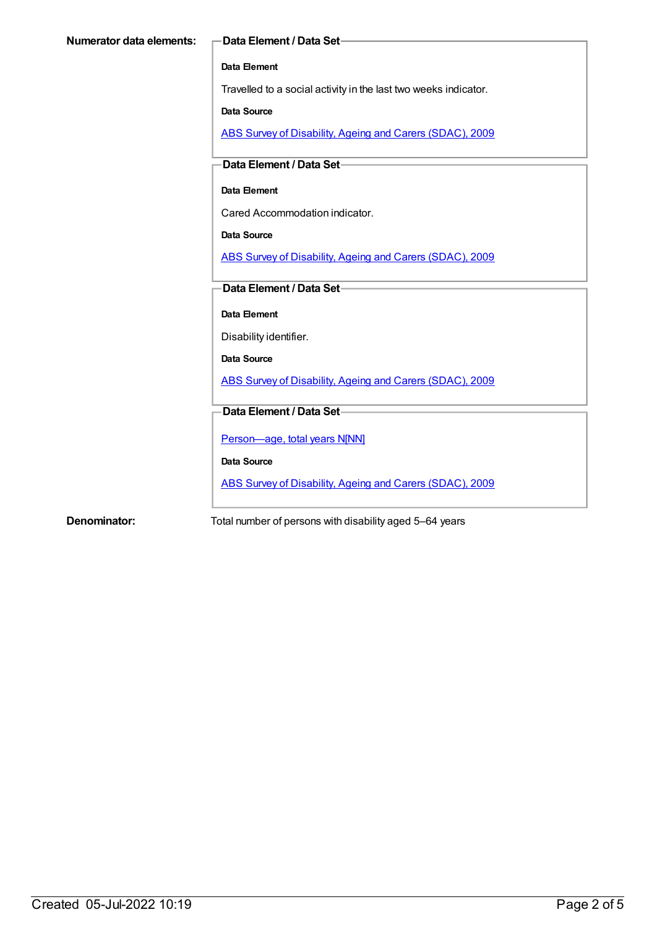#### **Data Element**

Travelled to a social activity in the last two weeks indicator.

#### **Data Source**

ABS Survey of [Disability,](https://meteor.aihw.gov.au/content/445288) Ageing and Carers (SDAC), 2009

#### **Data Element / Data Set**

#### **Data Element**

Cared Accommodation indicator.

#### **Data Source**

ABS Survey of [Disability,](https://meteor.aihw.gov.au/content/445288) Ageing and Carers (SDAC), 2009

### **Data Element / Data Set**

**Data Element**

#### Disability identifier.

**Data Source**

ABS Survey of [Disability,](https://meteor.aihw.gov.au/content/445288) Ageing and Carers (SDAC), 2009

#### **Data Element / Data Set**

[Person—age,](https://meteor.aihw.gov.au/content/303794) total years N[NN]

**Data Source**

ABS Survey of [Disability,](https://meteor.aihw.gov.au/content/445288) Ageing and Carers (SDAC), 2009

**Denominator:** Total number of persons with disability aged 5–64 years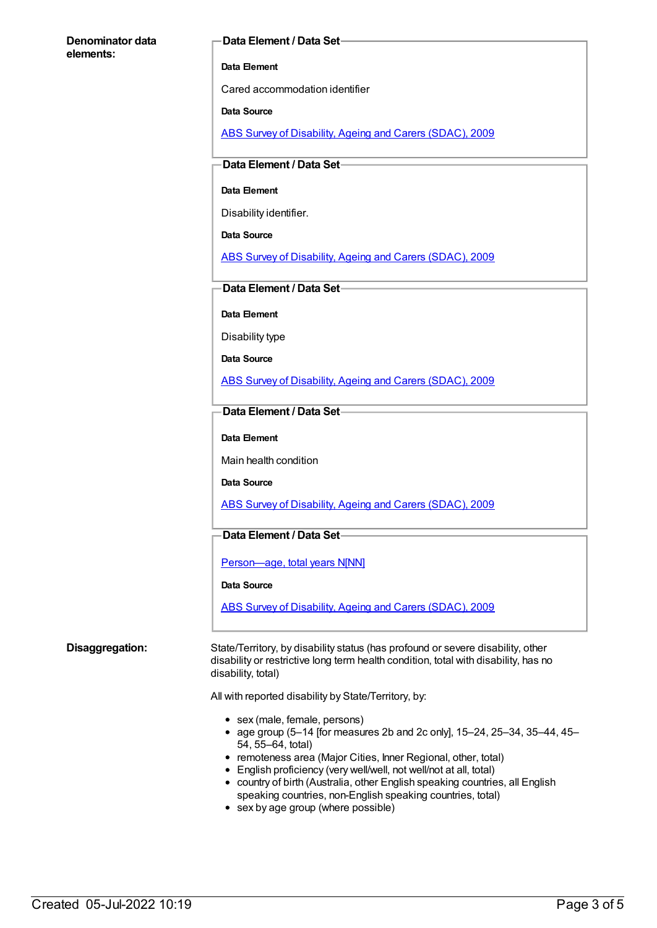#### **Denominator data elements:**

#### **Data Element / Data Set**

#### **Data Element**

Cared accommodation identifier

#### **Data Source**

ABS Survey of [Disability,](https://meteor.aihw.gov.au/content/445288) Ageing and Carers (SDAC), 2009

#### **Data Element / Data Set**

#### **Data Element**

Disability identifier.

**Data Source**

ABS Survey of [Disability,](https://meteor.aihw.gov.au/content/445288) Ageing and Carers (SDAC), 2009

#### **Data Element / Data Set**

**Data Element**

Disability type

**Data Source**

ABS Survey of [Disability,](https://meteor.aihw.gov.au/content/445288) Ageing and Carers (SDAC), 2009

#### **Data Element / Data Set**

#### **Data Element**

Main health condition

**Data Source**

ABS Survey of [Disability,](https://meteor.aihw.gov.au/content/445288) Ageing and Carers (SDAC), 2009

#### **Data Element / Data Set**

Person-age, total years N[NN]

#### **Data Source**

ABS Survey of [Disability,](https://meteor.aihw.gov.au/content/445288) Ageing and Carers (SDAC), 2009

**Disaggregation:** State/Territory, by disability status (has profound or severe disability, other disability or restrictive long term health condition, total with disability, has no disability, total)

All with reported disability by State/Territory, by:

- sex (male, female, persons)
- age group (5-14 [for measures 2b and 2c only], 15-24, 25-34, 35-44, 45-54, 55–64, total)
- remoteness area (Major Cities, Inner Regional, other, total)
- English proficiency (very well/well, not well/not at all, total)
- country of birth (Australia, other English speaking countries, all English speaking countries, non-English speaking countries, total)
- sex by age group (where possible)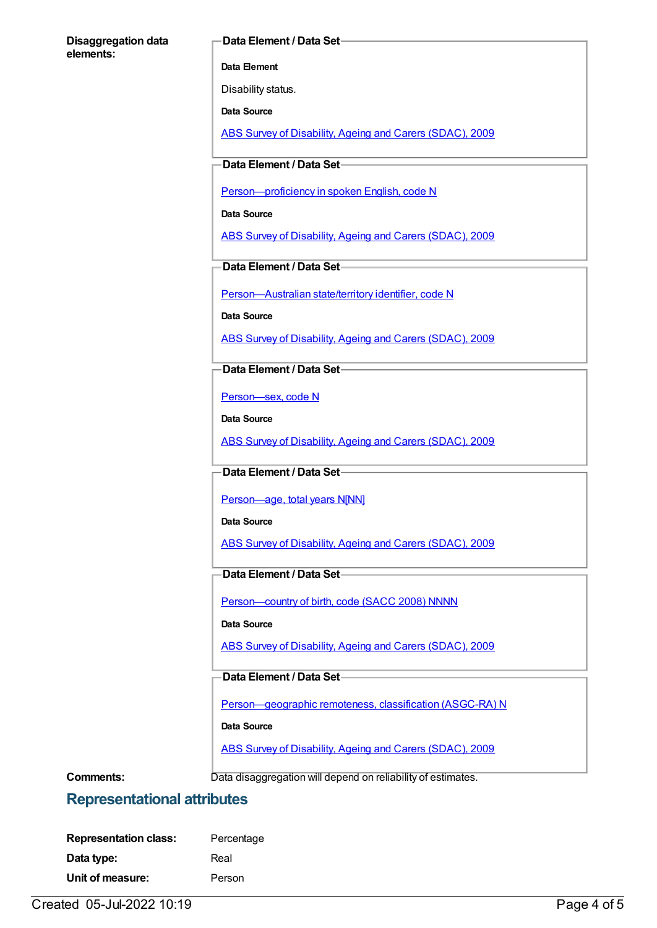#### **Disaggregation data elements:**

#### **Data Element / Data Set**

**Data Element**

Disability status.

**Data Source**

ABS Survey of [Disability,](https://meteor.aihw.gov.au/content/445288) Ageing and Carers (SDAC), 2009

**Data Element / Data Set**

[Person—proficiency](https://meteor.aihw.gov.au/content/270203) in spoken English, code N

**Data Source**

ABS Survey of [Disability,](https://meteor.aihw.gov.au/content/445288) Ageing and Carers (SDAC), 2009

**Data Element / Data Set**

[Person—Australian](https://meteor.aihw.gov.au/content/286919) state/territory identifier, code N

**Data Source**

ABS Survey of [Disability,](https://meteor.aihw.gov.au/content/445288) Ageing and Carers (SDAC), 2009

**Data Element / Data Set**

[Person—sex,](https://meteor.aihw.gov.au/content/287316) code N

**Data Source**

ABS Survey of [Disability,](https://meteor.aihw.gov.au/content/445288) Ageing and Carers (SDAC), 2009

#### **Data Element / Data Set**

Person-age, total years N[NN]

**Data Source**

ABS Survey of [Disability,](https://meteor.aihw.gov.au/content/445288) Ageing and Carers (SDAC), 2009

### **Data Element / Data Set**

Person-country of birth, code (SACC 2008) NNNN

**Data Source**

ABS Survey of [Disability,](https://meteor.aihw.gov.au/content/445288) Ageing and Carers (SDAC), 2009

**Data Element / Data Set**

[Person—geographic](https://meteor.aihw.gov.au/content/489826) remoteness, classification (ASGC-RA) N

**Data Source**

ABS Survey of [Disability,](https://meteor.aihw.gov.au/content/445288) Ageing and Carers (SDAC), 2009

**Comments:** Data disaggregation will depend on reliability of estimates.

## **Representational attributes**

| <b>Representation class:</b> | Percentage |
|------------------------------|------------|
| Data type:                   | Real       |
| Unit of measure:             | Person     |